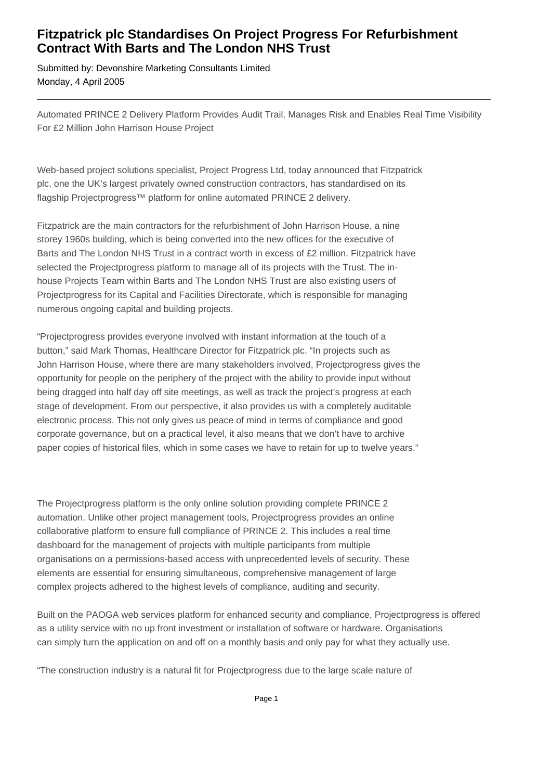## **Fitzpatrick plc Standardises On Project Progress For Refurbishment Contract With Barts and The London NHS Trust**

Submitted by: Devonshire Marketing Consultants Limited Monday, 4 April 2005

Automated PRINCE 2 Delivery Platform Provides Audit Trail, Manages Risk and Enables Real Time Visibility For £2 Million John Harrison House Project

Web-based project solutions specialist, Project Progress Ltd, today announced that Fitzpatrick plc, one the UK's largest privately owned construction contractors, has standardised on its flagship Projectprogress™ platform for online automated PRINCE 2 delivery.

Fitzpatrick are the main contractors for the refurbishment of John Harrison House, a nine storey 1960s building, which is being converted into the new offices for the executive of Barts and The London NHS Trust in a contract worth in excess of £2 million. Fitzpatrick have selected the Projectprogress platform to manage all of its projects with the Trust. The in house Projects Team within Barts and The London NHS Trust are also existing users of Projectprogress for its Capital and Facilities Directorate, which is responsible for managing numerous ongoing capital and building projects.

"Projectprogress provides everyone involved with instant information at the touch of a button," said Mark Thomas, Healthcare Director for Fitzpatrick plc. "In projects such as John Harrison House, where there are many stakeholders involved, Projectprogress gives the opportunity for people on the periphery of the project with the ability to provide input without being dragged into half day off site meetings, as well as track the project's progress at each stage of development. From our perspective, it also provides us with a completely auditable electronic process. This not only gives us peace of mind in terms of compliance and good corporate governance, but on a practical level, it also means that we don't have to archive paper copies of historical files, which in some cases we have to retain for up to twelve years."

The Projectprogress platform is the only online solution providing complete PRINCE 2 automation. Unlike other project management tools, Projectprogress provides an online collaborative platform to ensure full compliance of PRINCE 2. This includes a real time dashboard for the management of projects with multiple participants from multiple organisations on a permissions-based access with unprecedented levels of security. These elements are essential for ensuring simultaneous, comprehensive management of large complex projects adhered to the highest levels of compliance, auditing and security.

Built on the PAOGA web services platform for enhanced security and compliance, Projectprogress is offered as a utility service with no up front investment or installation of software or hardware. Organisations can simply turn the application on and off on a monthly basis and only pay for what they actually use.

"The construction industry is a natural fit for Projectprogress due to the large scale nature of